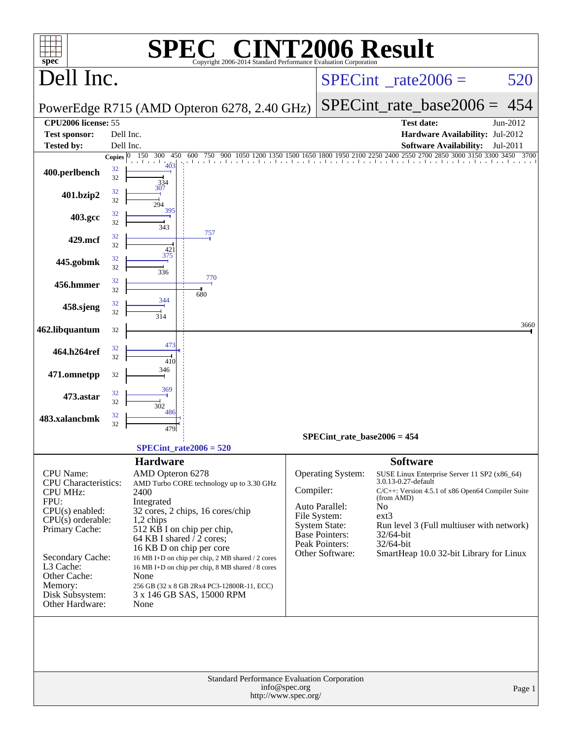| $spec^*$                                                                                                                                                                                             | <b>E&amp; CINT2006 Result</b><br>Copyright 2006-2014 Standard Performance Evaluation Corporation                                                                                                                                                                                                                                                                                           |                                       |                                                                                                                                           |                                                                                                                                                                                                                                                                                              |          |
|------------------------------------------------------------------------------------------------------------------------------------------------------------------------------------------------------|--------------------------------------------------------------------------------------------------------------------------------------------------------------------------------------------------------------------------------------------------------------------------------------------------------------------------------------------------------------------------------------------|---------------------------------------|-------------------------------------------------------------------------------------------------------------------------------------------|----------------------------------------------------------------------------------------------------------------------------------------------------------------------------------------------------------------------------------------------------------------------------------------------|----------|
| Dell Inc.                                                                                                                                                                                            |                                                                                                                                                                                                                                                                                                                                                                                            |                                       |                                                                                                                                           | $SPECint^{\circ}$ rate $2006 =$                                                                                                                                                                                                                                                              | 520      |
|                                                                                                                                                                                                      | PowerEdge R715 (AMD Opteron 6278, 2.40 GHz)                                                                                                                                                                                                                                                                                                                                                |                                       |                                                                                                                                           | SPECint rate base $2006 =$                                                                                                                                                                                                                                                                   | 454      |
| <b>CPU2006</b> license: 55<br><b>Test sponsor:</b>                                                                                                                                                   | Dell Inc.                                                                                                                                                                                                                                                                                                                                                                                  |                                       |                                                                                                                                           | <b>Test date:</b><br>Hardware Availability: Jul-2012                                                                                                                                                                                                                                         | Jun-2012 |
| Tested by:                                                                                                                                                                                           | Dell Inc.                                                                                                                                                                                                                                                                                                                                                                                  |                                       |                                                                                                                                           | <b>Software Availability:</b>                                                                                                                                                                                                                                                                | Jul-2011 |
| 400.perlbench                                                                                                                                                                                        | 150 300<br>Copies $ 0 $<br>450<br>600<br>750<br>.<br>32<br>32<br>334<br>307                                                                                                                                                                                                                                                                                                                |                                       |                                                                                                                                           | 900 1050 1200 1350 1500 1650 1800 1950 2100 2250 2400 2550 2700 2850 3000 3150 3300 3450 3700                                                                                                                                                                                                |          |
| 401.bzip2                                                                                                                                                                                            | 32<br>32<br>294                                                                                                                                                                                                                                                                                                                                                                            |                                       |                                                                                                                                           |                                                                                                                                                                                                                                                                                              |          |
| 403.gcc                                                                                                                                                                                              | 395<br>32<br>32<br>343                                                                                                                                                                                                                                                                                                                                                                     |                                       |                                                                                                                                           |                                                                                                                                                                                                                                                                                              |          |
| 429.mcf                                                                                                                                                                                              | 757<br>32<br>32<br>421                                                                                                                                                                                                                                                                                                                                                                     |                                       |                                                                                                                                           |                                                                                                                                                                                                                                                                                              |          |
| 445.gobmk                                                                                                                                                                                            | 375<br>32<br>32<br>336                                                                                                                                                                                                                                                                                                                                                                     |                                       |                                                                                                                                           |                                                                                                                                                                                                                                                                                              |          |
| 456.hmmer                                                                                                                                                                                            | 770<br>32<br>32<br>680                                                                                                                                                                                                                                                                                                                                                                     |                                       |                                                                                                                                           |                                                                                                                                                                                                                                                                                              |          |
| 458.sjeng                                                                                                                                                                                            | 344<br>32<br>32<br>314                                                                                                                                                                                                                                                                                                                                                                     |                                       |                                                                                                                                           |                                                                                                                                                                                                                                                                                              |          |
| 462.libquantum                                                                                                                                                                                       | 32                                                                                                                                                                                                                                                                                                                                                                                         |                                       |                                                                                                                                           |                                                                                                                                                                                                                                                                                              | 3660     |
| 464.h264ref                                                                                                                                                                                          | 473<br>32<br>32<br>410                                                                                                                                                                                                                                                                                                                                                                     |                                       |                                                                                                                                           |                                                                                                                                                                                                                                                                                              |          |
| 471.omnetpp                                                                                                                                                                                          | 346<br>32                                                                                                                                                                                                                                                                                                                                                                                  |                                       |                                                                                                                                           |                                                                                                                                                                                                                                                                                              |          |
| 473.astar                                                                                                                                                                                            | 369<br>32<br>32<br>302                                                                                                                                                                                                                                                                                                                                                                     |                                       |                                                                                                                                           |                                                                                                                                                                                                                                                                                              |          |
| 483.xalancbmk                                                                                                                                                                                        | 486<br>32<br>32<br>479                                                                                                                                                                                                                                                                                                                                                                     |                                       |                                                                                                                                           |                                                                                                                                                                                                                                                                                              |          |
|                                                                                                                                                                                                      | $SPECint_rate2006 = 520$                                                                                                                                                                                                                                                                                                                                                                   |                                       | SPECint rate base $2006 = 454$                                                                                                            |                                                                                                                                                                                                                                                                                              |          |
|                                                                                                                                                                                                      | <b>Hardware</b>                                                                                                                                                                                                                                                                                                                                                                            |                                       |                                                                                                                                           | <b>Software</b>                                                                                                                                                                                                                                                                              |          |
| <b>CPU</b> Name:<br><b>CPU</b> Characteristics:<br><b>CPU MHz:</b><br>FPU:<br>$CPU(s)$ enabled:<br>$CPU(s)$ orderable:<br>Primary Cache:<br>Secondary Cache:<br>L3 Cache:<br>Other Cache:<br>Memory: | AMD Opteron 6278<br>AMD Turbo CORE technology up to 3.30 GHz<br>2400<br>Integrated<br>32 cores, 2 chips, 16 cores/chip<br>1,2 chips<br>512 KB I on chip per chip,<br>64 KB I shared / 2 cores;<br>16 KB D on chip per core<br>16 MB I+D on chip per chip, 2 MB shared / 2 cores<br>16 MB I+D on chip per chip, 8 MB shared / 8 cores<br>None<br>256 GB (32 x 8 GB 2Rx4 PC3-12800R-11, ECC) | Compiler:                             | Operating System:<br>Auto Parallel:<br>File System:<br><b>System State:</b><br><b>Base Pointers:</b><br>Peak Pointers:<br>Other Software: | SUSE Linux Enterprise Server 11 SP2 (x86_64)<br>3.0.13-0.27-default<br>$C/C++$ : Version 4.5.1 of x86 Open64 Compiler Suite<br>(from AMD)<br>N <sub>0</sub><br>$ext{3}$<br>Run level 3 (Full multiuser with network)<br>32/64-bit<br>$32/64$ -bit<br>SmartHeap 10.0 32-bit Library for Linux |          |
| Disk Subsystem:<br>Other Hardware:                                                                                                                                                                   | 3 x 146 GB SAS, 15000 RPM<br>None<br><b>Standard Performance Evaluation Corporation</b>                                                                                                                                                                                                                                                                                                    |                                       |                                                                                                                                           |                                                                                                                                                                                                                                                                                              |          |
|                                                                                                                                                                                                      |                                                                                                                                                                                                                                                                                                                                                                                            | info@spec.org<br>http://www.spec.org/ |                                                                                                                                           |                                                                                                                                                                                                                                                                                              | Page 1   |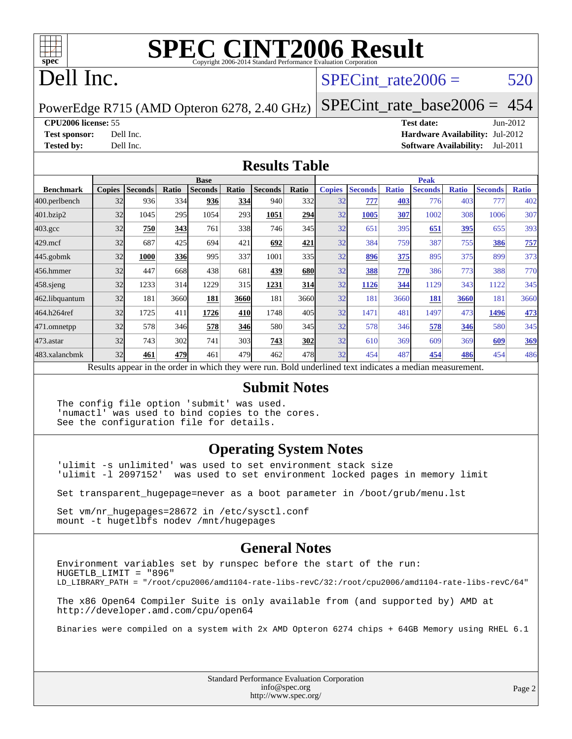

## Dell Inc.

### SPECint rate $2006 = 520$

PowerEdge R715 (AMD Opteron 6278, 2.40 GHz)

[SPECint\\_rate\\_base2006 =](http://www.spec.org/auto/cpu2006/Docs/result-fields.html#SPECintratebase2006) 454

**[CPU2006 license:](http://www.spec.org/auto/cpu2006/Docs/result-fields.html#CPU2006license)** 55 **[Test date:](http://www.spec.org/auto/cpu2006/Docs/result-fields.html#Testdate)** Jun-2012

**[Test sponsor:](http://www.spec.org/auto/cpu2006/Docs/result-fields.html#Testsponsor)** Dell Inc. **[Hardware Availability:](http://www.spec.org/auto/cpu2006/Docs/result-fields.html#HardwareAvailability)** Jul-2012 **[Tested by:](http://www.spec.org/auto/cpu2006/Docs/result-fields.html#Testedby)** Dell Inc. **[Software Availability:](http://www.spec.org/auto/cpu2006/Docs/result-fields.html#SoftwareAvailability)** Jul-2011

### **[Results Table](http://www.spec.org/auto/cpu2006/Docs/result-fields.html#ResultsTable)**

|                                                                                                          | <b>Base</b>   |                |       |                |            | <b>Peak</b>    |            |               |                |              |                |              |                |              |
|----------------------------------------------------------------------------------------------------------|---------------|----------------|-------|----------------|------------|----------------|------------|---------------|----------------|--------------|----------------|--------------|----------------|--------------|
| <b>Benchmark</b>                                                                                         | <b>Copies</b> | <b>Seconds</b> | Ratio | <b>Seconds</b> | Ratio      | <b>Seconds</b> | Ratio      | <b>Copies</b> | <b>Seconds</b> | <b>Ratio</b> | <b>Seconds</b> | <b>Ratio</b> | <b>Seconds</b> | <b>Ratio</b> |
| 400.perlbench                                                                                            | 32            | 936            | 334   | 936            | <u>334</u> | 940            | 332        | 32            | 777            | 403          | 776            | 403          | 777            | 402          |
| 401.bzip2                                                                                                | 32            | 1045           | 295   | 1054           | 293        | 1051           | 294        | 32            | 1005           | 307          | 1002           | 308          | 1006           | 307          |
| $403.\mathrm{gcc}$                                                                                       | 32            | 750            | 343   | 761            | 338l       | 746            | 345        | 32            | 651            | 395          | 651            | <u>395</u>   | 655            | 393          |
| $429$ .mcf                                                                                               | 32            | 687            | 425   | 694            | 421        | 692            | 421        | 32            | 384            | 759          | 387            | 755          | 386            | 757          |
| $445$ .gobmk                                                                                             | 32            | 1000           | 336   | 995            | 337        | 1001           | 335I       | 32            | 896            | 375          | 895            | 375          | 899            | 373          |
| 456.hmmer                                                                                                | 32            | 447            | 668   | 438            | 681        | 439            | <b>680</b> | 32            | 388            | 770          | 386            | 773          | 388            | 770          |
| $458$ .sjeng                                                                                             | 32            | 1233           | 314   | 1229           | 315        | 1231           | 314        | 32            | 1126           | 344          | 1129           | 343          | 1122           | 345          |
| 462.libquantum                                                                                           | 32            | 181            | 3660  | 181            | 3660       | 181            | 3660       | 32            | 181            | 3660         | 181            | 3660         | 181            | 3660         |
| 464.h264ref                                                                                              | 32            | 1725           | 411   | 1726           | 410        | 1748           | 405        | 32            | 1471           | 481          | 1497           | 473          | 1496           | 473          |
| 471.omnetpp                                                                                              | 32            | 578            | 346   | 578            | 346        | 580            | 345        | 32            | 578            | 346          | 578            | 346          | 580            | 345          |
| $473$ . astar                                                                                            | 32            | 743            | 302   | 741            | 303        | 743            | <b>302</b> | 32            | 610            | 369          | 609            | 369          | 609            | 369          |
| 483.xalancbmk                                                                                            | 32            | 461            | 479   | 461            | 479        | 462            | 478        | 32            | 454            | 487          | 454            | 486          | 454            | 486          |
| Results appear in the order in which they were run. Bold underlined text indicates a median measurement. |               |                |       |                |            |                |            |               |                |              |                |              |                |              |

### **[Submit Notes](http://www.spec.org/auto/cpu2006/Docs/result-fields.html#SubmitNotes)**

The config file option 'submit' was used. 'numactl' was used to bind copies to the cores. See the configuration file for details.

### **[Operating System Notes](http://www.spec.org/auto/cpu2006/Docs/result-fields.html#OperatingSystemNotes)**

'ulimit -s unlimited' was used to set environment stack size 'ulimit -l 2097152' was used to set environment locked pages in memory limit

Set transparent\_hugepage=never as a boot parameter in /boot/grub/menu.lst

Set vm/nr\_hugepages=28672 in /etc/sysctl.conf mount -t hugetlbfs nodev /mnt/hugepages

### **[General Notes](http://www.spec.org/auto/cpu2006/Docs/result-fields.html#GeneralNotes)**

Environment variables set by runspec before the start of the run: HUGETLB\_LIMIT = "896" LD\_LIBRARY\_PATH = "/root/cpu2006/amd1104-rate-libs-revC/32:/root/cpu2006/amd1104-rate-libs-revC/64" The x86 Open64 Compiler Suite is only available from (and supported by) AMD at <http://developer.amd.com/cpu/open64> Binaries were compiled on a system with 2x AMD Opteron 6274 chips + 64GB Memory using RHEL 6.1

> Standard Performance Evaluation Corporation [info@spec.org](mailto:info@spec.org) <http://www.spec.org/>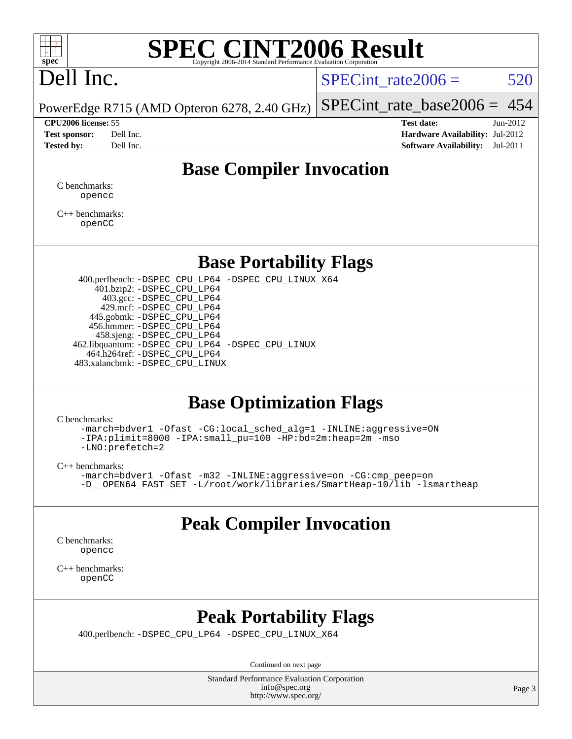

# Dell Inc.

SPECint rate $2006 = 520$ 

PowerEdge R715 (AMD Opteron 6278, 2.40 GHz) [SPECint\\_rate\\_base2006 =](http://www.spec.org/auto/cpu2006/Docs/result-fields.html#SPECintratebase2006) 454

**[CPU2006 license:](http://www.spec.org/auto/cpu2006/Docs/result-fields.html#CPU2006license)** 55 **[Test date:](http://www.spec.org/auto/cpu2006/Docs/result-fields.html#Testdate)** Jun-2012 **[Test sponsor:](http://www.spec.org/auto/cpu2006/Docs/result-fields.html#Testsponsor)** Dell Inc. **[Hardware Availability:](http://www.spec.org/auto/cpu2006/Docs/result-fields.html#HardwareAvailability)** Jul-2012 **[Tested by:](http://www.spec.org/auto/cpu2006/Docs/result-fields.html#Testedby)** Dell Inc. **[Software Availability:](http://www.spec.org/auto/cpu2006/Docs/result-fields.html#SoftwareAvailability)** Jul-2011

### **[Base Compiler Invocation](http://www.spec.org/auto/cpu2006/Docs/result-fields.html#BaseCompilerInvocation)**

[C benchmarks](http://www.spec.org/auto/cpu2006/Docs/result-fields.html#Cbenchmarks): [opencc](http://www.spec.org/cpu2006/results/res2012q3/cpu2006-20120716-23756.flags.html#user_CCbase_Fopencc)

[C++ benchmarks:](http://www.spec.org/auto/cpu2006/Docs/result-fields.html#CXXbenchmarks) [openCC](http://www.spec.org/cpu2006/results/res2012q3/cpu2006-20120716-23756.flags.html#user_CXXbase_FopenCC)

### **[Base Portability Flags](http://www.spec.org/auto/cpu2006/Docs/result-fields.html#BasePortabilityFlags)**

 400.perlbench: [-DSPEC\\_CPU\\_LP64](http://www.spec.org/cpu2006/results/res2012q3/cpu2006-20120716-23756.flags.html#b400.perlbench_basePORTABILITY_DSPEC_CPU_LP64) [-DSPEC\\_CPU\\_LINUX\\_X64](http://www.spec.org/cpu2006/results/res2012q3/cpu2006-20120716-23756.flags.html#b400.perlbench_baseCPORTABILITY_DSPEC_CPU_LINUX_X64) 401.bzip2: [-DSPEC\\_CPU\\_LP64](http://www.spec.org/cpu2006/results/res2012q3/cpu2006-20120716-23756.flags.html#suite_basePORTABILITY401_bzip2_DSPEC_CPU_LP64) 403.gcc: [-DSPEC\\_CPU\\_LP64](http://www.spec.org/cpu2006/results/res2012q3/cpu2006-20120716-23756.flags.html#suite_basePORTABILITY403_gcc_DSPEC_CPU_LP64) 429.mcf: [-DSPEC\\_CPU\\_LP64](http://www.spec.org/cpu2006/results/res2012q3/cpu2006-20120716-23756.flags.html#suite_basePORTABILITY429_mcf_DSPEC_CPU_LP64) 445.gobmk: [-DSPEC\\_CPU\\_LP64](http://www.spec.org/cpu2006/results/res2012q3/cpu2006-20120716-23756.flags.html#suite_basePORTABILITY445_gobmk_DSPEC_CPU_LP64) 456.hmmer: [-DSPEC\\_CPU\\_LP64](http://www.spec.org/cpu2006/results/res2012q3/cpu2006-20120716-23756.flags.html#suite_basePORTABILITY456_hmmer_DSPEC_CPU_LP64) 458.sjeng: [-DSPEC\\_CPU\\_LP64](http://www.spec.org/cpu2006/results/res2012q3/cpu2006-20120716-23756.flags.html#suite_basePORTABILITY458_sjeng_DSPEC_CPU_LP64) 462.libquantum: [-DSPEC\\_CPU\\_LP64](http://www.spec.org/cpu2006/results/res2012q3/cpu2006-20120716-23756.flags.html#suite_basePORTABILITY462_libquantum_DSPEC_CPU_LP64) [-DSPEC\\_CPU\\_LINUX](http://www.spec.org/cpu2006/results/res2012q3/cpu2006-20120716-23756.flags.html#b462.libquantum_baseCPORTABILITY_DSPEC_CPU_LINUX) 464.h264ref: [-DSPEC\\_CPU\\_LP64](http://www.spec.org/cpu2006/results/res2012q3/cpu2006-20120716-23756.flags.html#suite_basePORTABILITY464_h264ref_DSPEC_CPU_LP64) 483.xalancbmk: [-DSPEC\\_CPU\\_LINUX](http://www.spec.org/cpu2006/results/res2012q3/cpu2006-20120716-23756.flags.html#b483.xalancbmk_baseCXXPORTABILITY_DSPEC_CPU_LINUX)

### **[Base Optimization Flags](http://www.spec.org/auto/cpu2006/Docs/result-fields.html#BaseOptimizationFlags)**

[C benchmarks](http://www.spec.org/auto/cpu2006/Docs/result-fields.html#Cbenchmarks):

[-march=bdver1](http://www.spec.org/cpu2006/results/res2012q3/cpu2006-20120716-23756.flags.html#user_CCbase_F-march_fdb9f2653a6b3eaa60be4cf93a9ba5f3) [-Ofast](http://www.spec.org/cpu2006/results/res2012q3/cpu2006-20120716-23756.flags.html#user_CCbase_F-Ofast) [-CG:local\\_sched\\_alg=1](http://www.spec.org/cpu2006/results/res2012q3/cpu2006-20120716-23756.flags.html#user_CCbase_F-CG:local_sched_alg_2175ca61f1a2717f1ec57b14995b9e7a) [-INLINE:aggressive=ON](http://www.spec.org/cpu2006/results/res2012q3/cpu2006-20120716-23756.flags.html#user_CCbase_F-INLINE:aggressive_1968a21fda3b9e485676870015f71302) [-IPA:plimit=8000](http://www.spec.org/cpu2006/results/res2012q3/cpu2006-20120716-23756.flags.html#user_CCbase_F-IPA:plimit_92cba83f3d47f09c7d5368fda93ddbd7) [-IPA:small\\_pu=100](http://www.spec.org/cpu2006/results/res2012q3/cpu2006-20120716-23756.flags.html#user_CCbase_F-IPA:small_pu_900a09767c6929d55c26ea3d32399996) [-HP:bd=2m:heap=2m](http://www.spec.org/cpu2006/results/res2012q3/cpu2006-20120716-23756.flags.html#user_CCbase_F-HUGEPAGE_539c723a9f9bd1bd95cd839aeb740bae) [-mso](http://www.spec.org/cpu2006/results/res2012q3/cpu2006-20120716-23756.flags.html#user_CCbase_F-mso) [-LNO:prefetch=2](http://www.spec.org/cpu2006/results/res2012q3/cpu2006-20120716-23756.flags.html#user_CCbase_F-LNO:prefetch_9aee81855ba0592a3c8a40ba7b041143)

[C++ benchmarks:](http://www.spec.org/auto/cpu2006/Docs/result-fields.html#CXXbenchmarks)

```
-march=bdver1 -Ofast -m32 -INLINE:aggressive=on -CG:cmp_peep=on
-L/root/work/libraries/SmartHeap-10/lib -lsmartheap
```
### **[Peak Compiler Invocation](http://www.spec.org/auto/cpu2006/Docs/result-fields.html#PeakCompilerInvocation)**

[C benchmarks](http://www.spec.org/auto/cpu2006/Docs/result-fields.html#Cbenchmarks): [opencc](http://www.spec.org/cpu2006/results/res2012q3/cpu2006-20120716-23756.flags.html#user_CCpeak_Fopencc)

[C++ benchmarks:](http://www.spec.org/auto/cpu2006/Docs/result-fields.html#CXXbenchmarks) [openCC](http://www.spec.org/cpu2006/results/res2012q3/cpu2006-20120716-23756.flags.html#user_CXXpeak_FopenCC)

### **[Peak Portability Flags](http://www.spec.org/auto/cpu2006/Docs/result-fields.html#PeakPortabilityFlags)**

400.perlbench: [-DSPEC\\_CPU\\_LP64](http://www.spec.org/cpu2006/results/res2012q3/cpu2006-20120716-23756.flags.html#b400.perlbench_peakPORTABILITY_DSPEC_CPU_LP64) [-DSPEC\\_CPU\\_LINUX\\_X64](http://www.spec.org/cpu2006/results/res2012q3/cpu2006-20120716-23756.flags.html#b400.perlbench_peakCPORTABILITY_DSPEC_CPU_LINUX_X64)

Continued on next page

Standard Performance Evaluation Corporation [info@spec.org](mailto:info@spec.org) <http://www.spec.org/>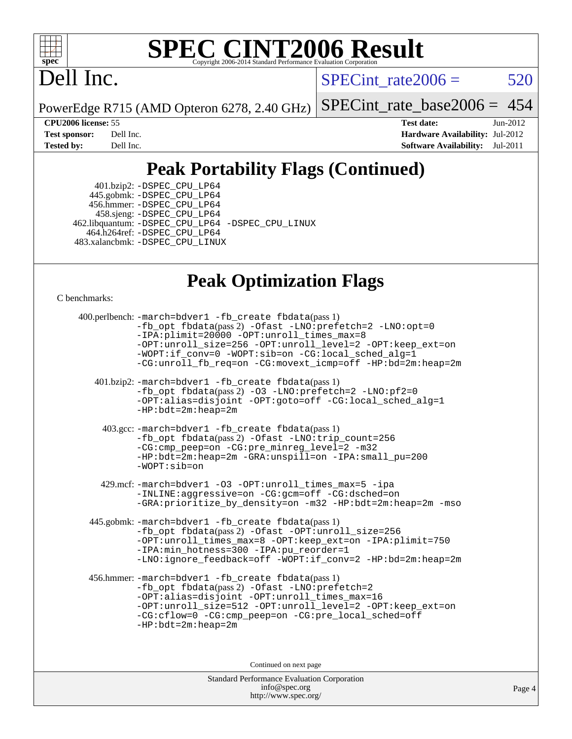

## Dell Inc.

 $SPECTnt_rate2006 = 520$ 

PowerEdge R715 (AMD Opteron 6278, 2.40 GHz)

[SPECint\\_rate\\_base2006 =](http://www.spec.org/auto/cpu2006/Docs/result-fields.html#SPECintratebase2006) 454

**[CPU2006 license:](http://www.spec.org/auto/cpu2006/Docs/result-fields.html#CPU2006license)** 55 **[Test date:](http://www.spec.org/auto/cpu2006/Docs/result-fields.html#Testdate)** Jun-2012 **[Test sponsor:](http://www.spec.org/auto/cpu2006/Docs/result-fields.html#Testsponsor)** Dell Inc. **[Hardware Availability:](http://www.spec.org/auto/cpu2006/Docs/result-fields.html#HardwareAvailability)** Jul-2012 **[Tested by:](http://www.spec.org/auto/cpu2006/Docs/result-fields.html#Testedby)** Dell Inc. **[Software Availability:](http://www.spec.org/auto/cpu2006/Docs/result-fields.html#SoftwareAvailability)** Jul-2011

### **[Peak Portability Flags \(Continued\)](http://www.spec.org/auto/cpu2006/Docs/result-fields.html#PeakPortabilityFlags)**

 401.bzip2: [-DSPEC\\_CPU\\_LP64](http://www.spec.org/cpu2006/results/res2012q3/cpu2006-20120716-23756.flags.html#suite_peakPORTABILITY401_bzip2_DSPEC_CPU_LP64) 445.gobmk: [-DSPEC\\_CPU\\_LP64](http://www.spec.org/cpu2006/results/res2012q3/cpu2006-20120716-23756.flags.html#suite_peakPORTABILITY445_gobmk_DSPEC_CPU_LP64) 456.hmmer: [-DSPEC\\_CPU\\_LP64](http://www.spec.org/cpu2006/results/res2012q3/cpu2006-20120716-23756.flags.html#suite_peakPORTABILITY456_hmmer_DSPEC_CPU_LP64) 458.sjeng: [-DSPEC\\_CPU\\_LP64](http://www.spec.org/cpu2006/results/res2012q3/cpu2006-20120716-23756.flags.html#suite_peakPORTABILITY458_sjeng_DSPEC_CPU_LP64) 462.libquantum: [-DSPEC\\_CPU\\_LP64](http://www.spec.org/cpu2006/results/res2012q3/cpu2006-20120716-23756.flags.html#suite_peakPORTABILITY462_libquantum_DSPEC_CPU_LP64) [-DSPEC\\_CPU\\_LINUX](http://www.spec.org/cpu2006/results/res2012q3/cpu2006-20120716-23756.flags.html#b462.libquantum_peakCPORTABILITY_DSPEC_CPU_LINUX) 464.h264ref: [-DSPEC\\_CPU\\_LP64](http://www.spec.org/cpu2006/results/res2012q3/cpu2006-20120716-23756.flags.html#suite_peakPORTABILITY464_h264ref_DSPEC_CPU_LP64) 483.xalancbmk: [-DSPEC\\_CPU\\_LINUX](http://www.spec.org/cpu2006/results/res2012q3/cpu2006-20120716-23756.flags.html#b483.xalancbmk_peakCXXPORTABILITY_DSPEC_CPU_LINUX)

### **[Peak Optimization Flags](http://www.spec.org/auto/cpu2006/Docs/result-fields.html#PeakOptimizationFlags)**

[C benchmarks](http://www.spec.org/auto/cpu2006/Docs/result-fields.html#Cbenchmarks):

Standard Performance Evaluation Corporation [info@spec.org](mailto:info@spec.org) 400.perlbench: [-march=bdver1](http://www.spec.org/cpu2006/results/res2012q3/cpu2006-20120716-23756.flags.html#user_peakCCLD400_perlbench_F-march_fdb9f2653a6b3eaa60be4cf93a9ba5f3) [-fb\\_create fbdata](http://www.spec.org/cpu2006/results/res2012q3/cpu2006-20120716-23756.flags.html#user_peakPASS1_CFLAGSPASS1_LDFLAGS400_perlbench_F-fb_create_filename)(pass 1) [-fb\\_opt fbdata](http://www.spec.org/cpu2006/results/res2012q3/cpu2006-20120716-23756.flags.html#user_peakPASS2_CFLAGSPASS2_LDFLAGS400_perlbench_F-fb_opt_filename)(pass 2) [-Ofast](http://www.spec.org/cpu2006/results/res2012q3/cpu2006-20120716-23756.flags.html#user_peakCOPTIMIZE400_perlbench_F-Ofast) [-LNO:prefetch=2](http://www.spec.org/cpu2006/results/res2012q3/cpu2006-20120716-23756.flags.html#user_peakCOPTIMIZE400_perlbench_F-LNO:prefetch_9aee81855ba0592a3c8a40ba7b041143) [-LNO:opt=0](http://www.spec.org/cpu2006/results/res2012q3/cpu2006-20120716-23756.flags.html#user_peakCOPTIMIZE400_perlbench_F-LNO:opt_b91e8b13d06f45039299c6496cc69a5f) [-IPA:plimit=20000](http://www.spec.org/cpu2006/results/res2012q3/cpu2006-20120716-23756.flags.html#user_peakCOPTIMIZE400_perlbench_F-IPA:plimit_89e6fd9421ace0d5dab294a0a1b8be33) [-OPT:unroll\\_times\\_max=8](http://www.spec.org/cpu2006/results/res2012q3/cpu2006-20120716-23756.flags.html#user_peakCOPTIMIZE400_perlbench_F-OPT:unroll_times_max_1ad8852298ca2c36a68b2d007aae0e22) [-OPT:unroll\\_size=256](http://www.spec.org/cpu2006/results/res2012q3/cpu2006-20120716-23756.flags.html#user_peakCOPTIMIZE400_perlbench_F-OPT:unroll_size_dfa492f42f50f580c3837c8b22d14f27) [-OPT:unroll\\_level=2](http://www.spec.org/cpu2006/results/res2012q3/cpu2006-20120716-23756.flags.html#user_peakCOPTIMIZE400_perlbench_F-OPT:unroll_level_2cd767e66711a193dd7aad8ffe1e4d20) [-OPT:keep\\_ext=on](http://www.spec.org/cpu2006/results/res2012q3/cpu2006-20120716-23756.flags.html#user_peakCOPTIMIZE400_perlbench_F-OPT:keep_ext_4dbb9969188886aadf10437ce9577910) [-WOPT:if\\_conv=0](http://www.spec.org/cpu2006/results/res2012q3/cpu2006-20120716-23756.flags.html#user_peakCOPTIMIZE400_perlbench_F-WOPT:if_conv_3763321a358ff896b32d6152fd83e145) [-WOPT:sib=on](http://www.spec.org/cpu2006/results/res2012q3/cpu2006-20120716-23756.flags.html#user_peakCOPTIMIZE400_perlbench_F-WOPT:sib_922e769c7f0e2d4dff1b4919612a4b7b) [-CG:local\\_sched\\_alg=1](http://www.spec.org/cpu2006/results/res2012q3/cpu2006-20120716-23756.flags.html#user_peakCOPTIMIZE400_perlbench_F-CG:local_sched_alg_2175ca61f1a2717f1ec57b14995b9e7a) [-CG:unroll\\_fb\\_req=on](http://www.spec.org/cpu2006/results/res2012q3/cpu2006-20120716-23756.flags.html#user_peakCOPTIMIZE400_perlbench_F-CG:unroll_fb_req_6669f978801820a53c68eded7a4f0485) [-CG:movext\\_icmp=off](http://www.spec.org/cpu2006/results/res2012q3/cpu2006-20120716-23756.flags.html#user_peakCOPTIMIZE400_perlbench_F-CG:movext_icmp_460c980612b8c1bf4cfe85e9a0188f7b) [-HP:bd=2m:heap=2m](http://www.spec.org/cpu2006/results/res2012q3/cpu2006-20120716-23756.flags.html#user_peakCOPTIMIZE400_perlbench_F-HUGEPAGE_539c723a9f9bd1bd95cd839aeb740bae) 401.bzip2: [-march=bdver1](http://www.spec.org/cpu2006/results/res2012q3/cpu2006-20120716-23756.flags.html#user_peakCCLD401_bzip2_F-march_fdb9f2653a6b3eaa60be4cf93a9ba5f3) [-fb\\_create fbdata](http://www.spec.org/cpu2006/results/res2012q3/cpu2006-20120716-23756.flags.html#user_peakPASS1_CFLAGSPASS1_LDFLAGS401_bzip2_F-fb_create_filename)(pass 1) [-fb\\_opt fbdata](http://www.spec.org/cpu2006/results/res2012q3/cpu2006-20120716-23756.flags.html#user_peakPASS2_CFLAGSPASS2_LDFLAGS401_bzip2_F-fb_opt_filename)(pass 2) [-O3](http://www.spec.org/cpu2006/results/res2012q3/cpu2006-20120716-23756.flags.html#user_peakCOPTIMIZE401_bzip2_F-O3) [-LNO:prefetch=2](http://www.spec.org/cpu2006/results/res2012q3/cpu2006-20120716-23756.flags.html#user_peakCOPTIMIZE401_bzip2_F-LNO:prefetch_9aee81855ba0592a3c8a40ba7b041143) [-LNO:pf2=0](http://www.spec.org/cpu2006/results/res2012q3/cpu2006-20120716-23756.flags.html#user_peakCOPTIMIZE401_bzip2_F-LNO:pf2_07981756300a2e0b4788bc5b1051435b) [-OPT:alias=disjoint](http://www.spec.org/cpu2006/results/res2012q3/cpu2006-20120716-23756.flags.html#user_peakCOPTIMIZE401_bzip2_F-OPT:alias_af85d624bc8c113f27b06a81a9df063d) [-OPT:goto=off](http://www.spec.org/cpu2006/results/res2012q3/cpu2006-20120716-23756.flags.html#user_peakCOPTIMIZE401_bzip2_F-OPT:goto_b8760493db7ddb90acc865b6d90bb5de) [-CG:local\\_sched\\_alg=1](http://www.spec.org/cpu2006/results/res2012q3/cpu2006-20120716-23756.flags.html#user_peakCOPTIMIZE401_bzip2_F-CG:local_sched_alg_2175ca61f1a2717f1ec57b14995b9e7a) [-HP:bdt=2m:heap=2m](http://www.spec.org/cpu2006/results/res2012q3/cpu2006-20120716-23756.flags.html#user_peakCOPTIMIZE401_bzip2_F-HUGEPAGE_855e97383b49831f390a2af16fe7202f) 403.gcc: [-march=bdver1](http://www.spec.org/cpu2006/results/res2012q3/cpu2006-20120716-23756.flags.html#user_peakCCLD403_gcc_F-march_fdb9f2653a6b3eaa60be4cf93a9ba5f3) [-fb\\_create fbdata](http://www.spec.org/cpu2006/results/res2012q3/cpu2006-20120716-23756.flags.html#user_peakPASS1_CFLAGSPASS1_LDFLAGS403_gcc_F-fb_create_filename)(pass 1) [-fb\\_opt fbdata](http://www.spec.org/cpu2006/results/res2012q3/cpu2006-20120716-23756.flags.html#user_peakPASS2_CFLAGSPASS2_LDFLAGS403_gcc_F-fb_opt_filename)(pass 2) [-Ofast](http://www.spec.org/cpu2006/results/res2012q3/cpu2006-20120716-23756.flags.html#user_peakCOPTIMIZE403_gcc_F-Ofast) [-LNO:trip\\_count=256](http://www.spec.org/cpu2006/results/res2012q3/cpu2006-20120716-23756.flags.html#user_peakCOPTIMIZE403_gcc_F-LNO:trip_count_fda57506a3ecf9651535a9a8fb03b434) [-CG:cmp\\_peep=on](http://www.spec.org/cpu2006/results/res2012q3/cpu2006-20120716-23756.flags.html#user_peakCOPTIMIZE403_gcc_F-CG:cmp_peep_ab90c979e95bee1f1f617a32622424ed) [-CG:pre\\_minreg\\_level=2](http://www.spec.org/cpu2006/results/res2012q3/cpu2006-20120716-23756.flags.html#user_peakCOPTIMIZE403_gcc_F-CG:pre_minreg_level_7a4f6ecddb7c61e5a5fb2e3c8bb4dd9d) [-m32](http://www.spec.org/cpu2006/results/res2012q3/cpu2006-20120716-23756.flags.html#user_peakCOPTIMIZE403_gcc_F-m32) [-HP:bdt=2m:heap=2m](http://www.spec.org/cpu2006/results/res2012q3/cpu2006-20120716-23756.flags.html#user_peakCOPTIMIZE403_gcc_F-HUGEPAGE_855e97383b49831f390a2af16fe7202f) [-GRA:unspill=on](http://www.spec.org/cpu2006/results/res2012q3/cpu2006-20120716-23756.flags.html#user_peakCOPTIMIZE403_gcc_F-GRA:unspill_1a6c98043856890311246be72b057593) [-IPA:small\\_pu=200](http://www.spec.org/cpu2006/results/res2012q3/cpu2006-20120716-23756.flags.html#user_peakCOPTIMIZE403_gcc_F-IPA:small_pu_9e003d10925fc6bd9336e5337d9e3a22) [-WOPT:sib=on](http://www.spec.org/cpu2006/results/res2012q3/cpu2006-20120716-23756.flags.html#user_peakCOPTIMIZE403_gcc_F-WOPT:sib_922e769c7f0e2d4dff1b4919612a4b7b) 429.mcf: [-march=bdver1](http://www.spec.org/cpu2006/results/res2012q3/cpu2006-20120716-23756.flags.html#user_peakCCLD429_mcf_F-march_fdb9f2653a6b3eaa60be4cf93a9ba5f3) [-O3](http://www.spec.org/cpu2006/results/res2012q3/cpu2006-20120716-23756.flags.html#user_peakCOPTIMIZE429_mcf_F-O3) [-OPT:unroll\\_times\\_max=5](http://www.spec.org/cpu2006/results/res2012q3/cpu2006-20120716-23756.flags.html#user_peakCOPTIMIZE429_mcf_F-OPT:unroll_times_max_41568a7af56e14658911ef351ee37d74) [-ipa](http://www.spec.org/cpu2006/results/res2012q3/cpu2006-20120716-23756.flags.html#user_peakCOPTIMIZE429_mcf_F-ipa) [-INLINE:aggressive=on](http://www.spec.org/cpu2006/results/res2012q3/cpu2006-20120716-23756.flags.html#user_peakCOPTIMIZE429_mcf_F-INLINE:aggressive_e14807c0a1e56a6a83cb25ab07c7ae8a) [-CG:gcm=off](http://www.spec.org/cpu2006/results/res2012q3/cpu2006-20120716-23756.flags.html#user_peakCOPTIMIZE429_mcf_F-CG:gcm_3afc0477d086a9a9afc1ccea25488f06) [-CG:dsched=on](http://www.spec.org/cpu2006/results/res2012q3/cpu2006-20120716-23756.flags.html#user_peakCOPTIMIZE429_mcf_F-CG:dsched_25fd6bf9b1a971fa5ea06b24e400231d) [-GRA:prioritize\\_by\\_density=on](http://www.spec.org/cpu2006/results/res2012q3/cpu2006-20120716-23756.flags.html#user_peakCOPTIMIZE429_mcf_F-GRA:prioritize_by_density_342c4fb73fe18829f920373223f095a5) [-m32](http://www.spec.org/cpu2006/results/res2012q3/cpu2006-20120716-23756.flags.html#user_peakCOPTIMIZE429_mcf_F-m32) [-HP:bdt=2m:heap=2m](http://www.spec.org/cpu2006/results/res2012q3/cpu2006-20120716-23756.flags.html#user_peakCOPTIMIZE429_mcf_F-HUGEPAGE_855e97383b49831f390a2af16fe7202f) [-mso](http://www.spec.org/cpu2006/results/res2012q3/cpu2006-20120716-23756.flags.html#user_peakCOPTIMIZE429_mcf_F-mso) 445.gobmk: [-march=bdver1](http://www.spec.org/cpu2006/results/res2012q3/cpu2006-20120716-23756.flags.html#user_peakCCLD445_gobmk_F-march_fdb9f2653a6b3eaa60be4cf93a9ba5f3) [-fb\\_create fbdata](http://www.spec.org/cpu2006/results/res2012q3/cpu2006-20120716-23756.flags.html#user_peakPASS1_CFLAGSPASS1_LDFLAGS445_gobmk_F-fb_create_filename)(pass 1) [-fb\\_opt fbdata](http://www.spec.org/cpu2006/results/res2012q3/cpu2006-20120716-23756.flags.html#user_peakPASS2_CFLAGSPASS2_LDFLAGS445_gobmk_F-fb_opt_filename)(pass 2) [-Ofast](http://www.spec.org/cpu2006/results/res2012q3/cpu2006-20120716-23756.flags.html#user_peakCOPTIMIZE445_gobmk_F-Ofast) [-OPT:unroll\\_size=256](http://www.spec.org/cpu2006/results/res2012q3/cpu2006-20120716-23756.flags.html#user_peakCOPTIMIZE445_gobmk_F-OPT:unroll_size_dfa492f42f50f580c3837c8b22d14f27) [-OPT:unroll\\_times\\_max=8](http://www.spec.org/cpu2006/results/res2012q3/cpu2006-20120716-23756.flags.html#user_peakCOPTIMIZE445_gobmk_F-OPT:unroll_times_max_1ad8852298ca2c36a68b2d007aae0e22) [-OPT:keep\\_ext=on](http://www.spec.org/cpu2006/results/res2012q3/cpu2006-20120716-23756.flags.html#user_peakCOPTIMIZE445_gobmk_F-OPT:keep_ext_4dbb9969188886aadf10437ce9577910) [-IPA:plimit=750](http://www.spec.org/cpu2006/results/res2012q3/cpu2006-20120716-23756.flags.html#user_peakCOPTIMIZE445_gobmk_F-IPA:plimit_d12b7edf4800746ab824f3a01a8ce117) [-IPA:min\\_hotness=300](http://www.spec.org/cpu2006/results/res2012q3/cpu2006-20120716-23756.flags.html#user_peakCOPTIMIZE445_gobmk_F-IPA:min_hotness_a22c9a7839d9fc5b8df1b53fa3adec91) [-IPA:pu\\_reorder=1](http://www.spec.org/cpu2006/results/res2012q3/cpu2006-20120716-23756.flags.html#user_peakCOPTIMIZE445_gobmk_F-IPA:pu_reorder_05e26b42f44c94362cdc386b470e6fd6) [-LNO:ignore\\_feedback=off](http://www.spec.org/cpu2006/results/res2012q3/cpu2006-20120716-23756.flags.html#user_peakCOPTIMIZE445_gobmk_F-LNO:ignore_feedback_1d6d06f39185b277a955c10dfd0a9a73) [-WOPT:if\\_conv=2](http://www.spec.org/cpu2006/results/res2012q3/cpu2006-20120716-23756.flags.html#user_peakCOPTIMIZE445_gobmk_F-WOPT:if_conv_e8462f40aca1486d344ee41d7d72a1be) [-HP:bd=2m:heap=2m](http://www.spec.org/cpu2006/results/res2012q3/cpu2006-20120716-23756.flags.html#user_peakCOPTIMIZE445_gobmk_F-HUGEPAGE_539c723a9f9bd1bd95cd839aeb740bae) 456.hmmer: [-march=bdver1](http://www.spec.org/cpu2006/results/res2012q3/cpu2006-20120716-23756.flags.html#user_peakCCLD456_hmmer_F-march_fdb9f2653a6b3eaa60be4cf93a9ba5f3) [-fb\\_create fbdata](http://www.spec.org/cpu2006/results/res2012q3/cpu2006-20120716-23756.flags.html#user_peakPASS1_CFLAGSPASS1_LDFLAGS456_hmmer_F-fb_create_filename)(pass 1) [-fb\\_opt fbdata](http://www.spec.org/cpu2006/results/res2012q3/cpu2006-20120716-23756.flags.html#user_peakPASS2_CFLAGSPASS2_LDFLAGS456_hmmer_F-fb_opt_filename)(pass 2) [-Ofast](http://www.spec.org/cpu2006/results/res2012q3/cpu2006-20120716-23756.flags.html#user_peakCOPTIMIZE456_hmmer_F-Ofast) [-LNO:prefetch=2](http://www.spec.org/cpu2006/results/res2012q3/cpu2006-20120716-23756.flags.html#user_peakCOPTIMIZE456_hmmer_F-LNO:prefetch_9aee81855ba0592a3c8a40ba7b041143) [-OPT:alias=disjoint](http://www.spec.org/cpu2006/results/res2012q3/cpu2006-20120716-23756.flags.html#user_peakCOPTIMIZE456_hmmer_F-OPT:alias_af85d624bc8c113f27b06a81a9df063d) [-OPT:unroll\\_times\\_max=16](http://www.spec.org/cpu2006/results/res2012q3/cpu2006-20120716-23756.flags.html#user_peakCOPTIMIZE456_hmmer_F-OPT:unroll_times_max_5d3a7ea8aede02c15c5f97a188fc301e) [-OPT:unroll\\_size=512](http://www.spec.org/cpu2006/results/res2012q3/cpu2006-20120716-23756.flags.html#user_peakCOPTIMIZE456_hmmer_F-OPT:unroll_size_79cfbf3314b86bd6f3f6a82a9903ba97) [-OPT:unroll\\_level=2](http://www.spec.org/cpu2006/results/res2012q3/cpu2006-20120716-23756.flags.html#user_peakCOPTIMIZE456_hmmer_F-OPT:unroll_level_2cd767e66711a193dd7aad8ffe1e4d20) [-OPT:keep\\_ext=on](http://www.spec.org/cpu2006/results/res2012q3/cpu2006-20120716-23756.flags.html#user_peakCOPTIMIZE456_hmmer_F-OPT:keep_ext_4dbb9969188886aadf10437ce9577910) [-CG:cflow=0](http://www.spec.org/cpu2006/results/res2012q3/cpu2006-20120716-23756.flags.html#user_peakCOPTIMIZE456_hmmer_F-CG:cflow_75ba632a6a95410c488fc5f313a16b42) [-CG:cmp\\_peep=on](http://www.spec.org/cpu2006/results/res2012q3/cpu2006-20120716-23756.flags.html#user_peakCOPTIMIZE456_hmmer_F-CG:cmp_peep_ab90c979e95bee1f1f617a32622424ed) [-CG:pre\\_local\\_sched=off](http://www.spec.org/cpu2006/results/res2012q3/cpu2006-20120716-23756.flags.html#user_peakCOPTIMIZE456_hmmer_F-CG:pre_local_sched_7bb173f1e7fa183e34a713f624fd3d48) [-HP:bdt=2m:heap=2m](http://www.spec.org/cpu2006/results/res2012q3/cpu2006-20120716-23756.flags.html#user_peakCOPTIMIZE456_hmmer_F-HUGEPAGE_855e97383b49831f390a2af16fe7202f) Continued on next page

<http://www.spec.org/>

Page 4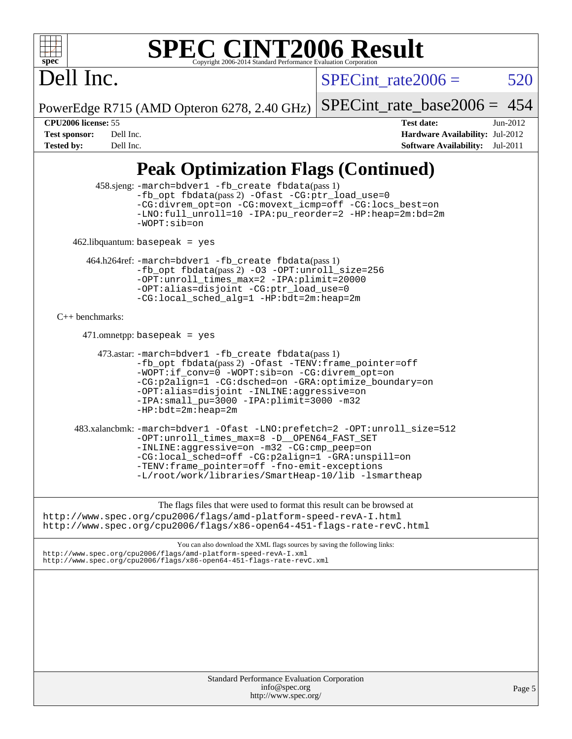### **spec [SPEC CINT2006 Result](http://www.spec.org/auto/cpu2006/Docs/result-fields.html#SPECCINT2006Result)** Copyright 2006-2014 Standard Performance Evaluation C

# Dell Inc.

SPECint rate $2006 = 520$ 

PowerEdge R715 (AMD Opteron 6278, 2.40 GHz)

[SPECint\\_rate\\_base2006 =](http://www.spec.org/auto/cpu2006/Docs/result-fields.html#SPECintratebase2006) 454

**[CPU2006 license:](http://www.spec.org/auto/cpu2006/Docs/result-fields.html#CPU2006license)** 55 **[Test date:](http://www.spec.org/auto/cpu2006/Docs/result-fields.html#Testdate)** Jun-2012 **[Test sponsor:](http://www.spec.org/auto/cpu2006/Docs/result-fields.html#Testsponsor)** Dell Inc. **[Hardware Availability:](http://www.spec.org/auto/cpu2006/Docs/result-fields.html#HardwareAvailability)** Jul-2012 **[Tested by:](http://www.spec.org/auto/cpu2006/Docs/result-fields.html#Testedby)** Dell Inc. **[Software Availability:](http://www.spec.org/auto/cpu2006/Docs/result-fields.html#SoftwareAvailability)** Jul-2011

### **[Peak Optimization Flags \(Continued\)](http://www.spec.org/auto/cpu2006/Docs/result-fields.html#PeakOptimizationFlags)**